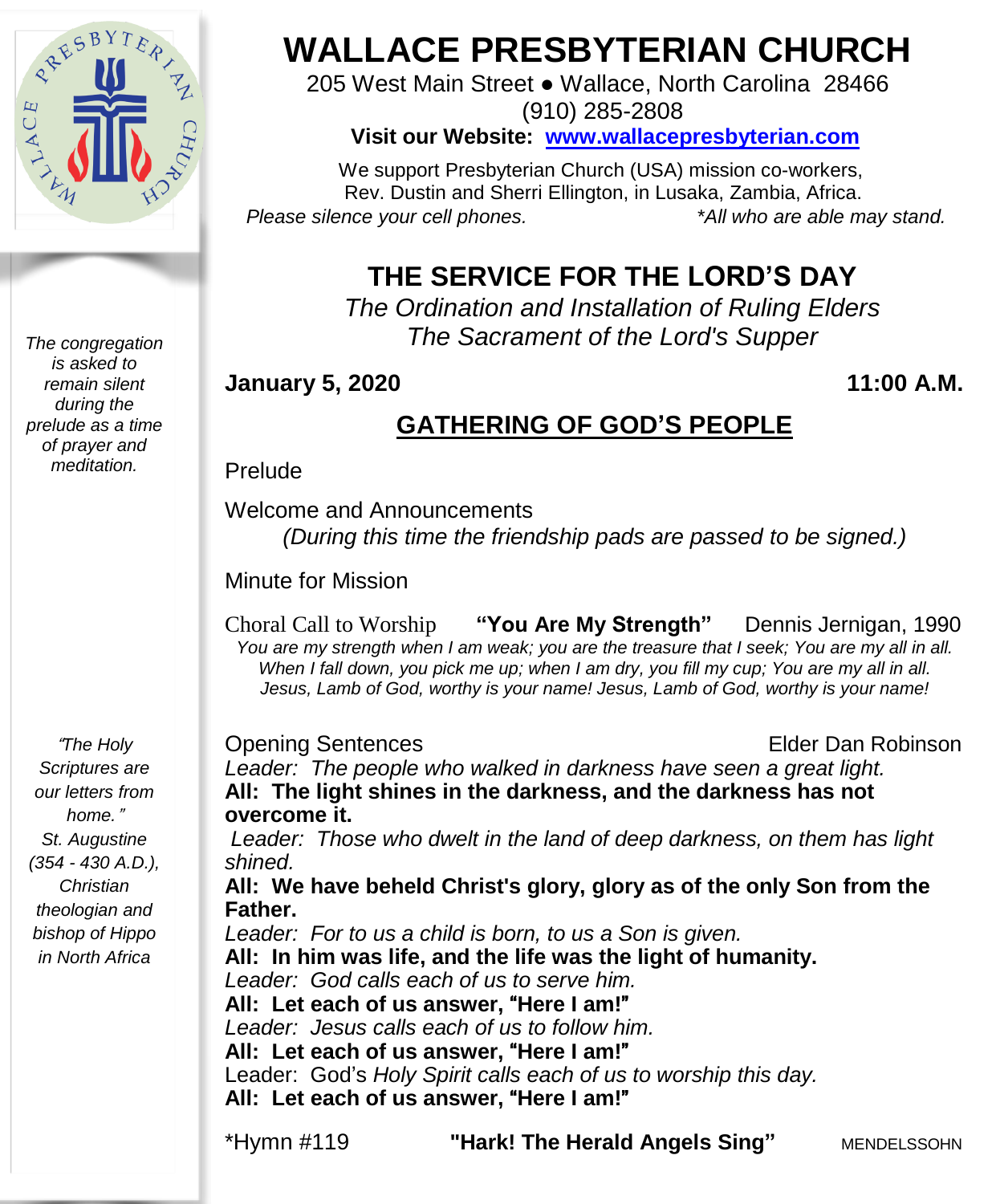

*The congregation is asked to remain silent during the prelude as a time of prayer and meditation.*

"*The Holy Scriptures are our letters from home.*" *St. Augustine (354 - 430 A.D.), Christian theologian and bishop of Hippo in North Africa*

# **WALLACE PRESBYTERIAN CHURCH**

205 West Main Street ● Wallace, North Carolina 28466 (910) 285-2808

**Visit our Website: [www.wallacepresbyterian.com](http://www.wallacepresbyterian.com/)**

 We support Presbyterian Church (USA) mission co-workers, Rev. Dustin and Sherri Ellington, in Lusaka, Zambia, Africa. *Please silence your cell phones. \*All who are able may stand.*

### **THE SERVICE FOR THE LORD'S DAY**

*The Ordination and Installation of Ruling Elders The Sacrament of the Lord's Supper*

#### **January 5, 2020 11:00 A.M.**

### **GATHERING OF GOD'S PEOPLE**

#### Prelude

Welcome and Announcements *(During this time the friendship pads are passed to be signed.)*

Minute for Mission

Choral Call to Worship **"You Are My Strength"** Dennis Jernigan, 1990 You are my strength when I am weak; you are the treasure that I seek; You are my all in all. When I fall down, you pick me up; when I am dry, you fill my cup; You are my all in all. *Jesus, Lamb of God, worthy is your name! Jesus, Lamb of God, worthy is your name!*

Opening Sentences **Elder Dan Robinson** 

*Leader: The people who walked in darkness have seen a great light.* **All: The light shines in the darkness, and the darkness has not overcome it.**

*Leader: Those who dwelt in the land of deep darkness, on them has light shined.*

**All: We have beheld Christ's glory, glory as of the only Son from the Father.**

*Leader: For to us a child is born, to us a Son is given.*

**All: In him was life, and the life was the light of humanity.**

*Leader: God calls each of us to serve him.*

**All: Let each of us answer,** "**Here I am!**"

*Leader: Jesus calls each of us to follow him.*

**All: Let each of us answer,** "**Here I am!**"

Leader: God's *Holy Spirit calls each of us to worship this day.*

**All: Let each of us answer,** "**Here I am!**"

\*Hymn #119 **"Hark! The Herald Angels Sing"** MENDELSSOHN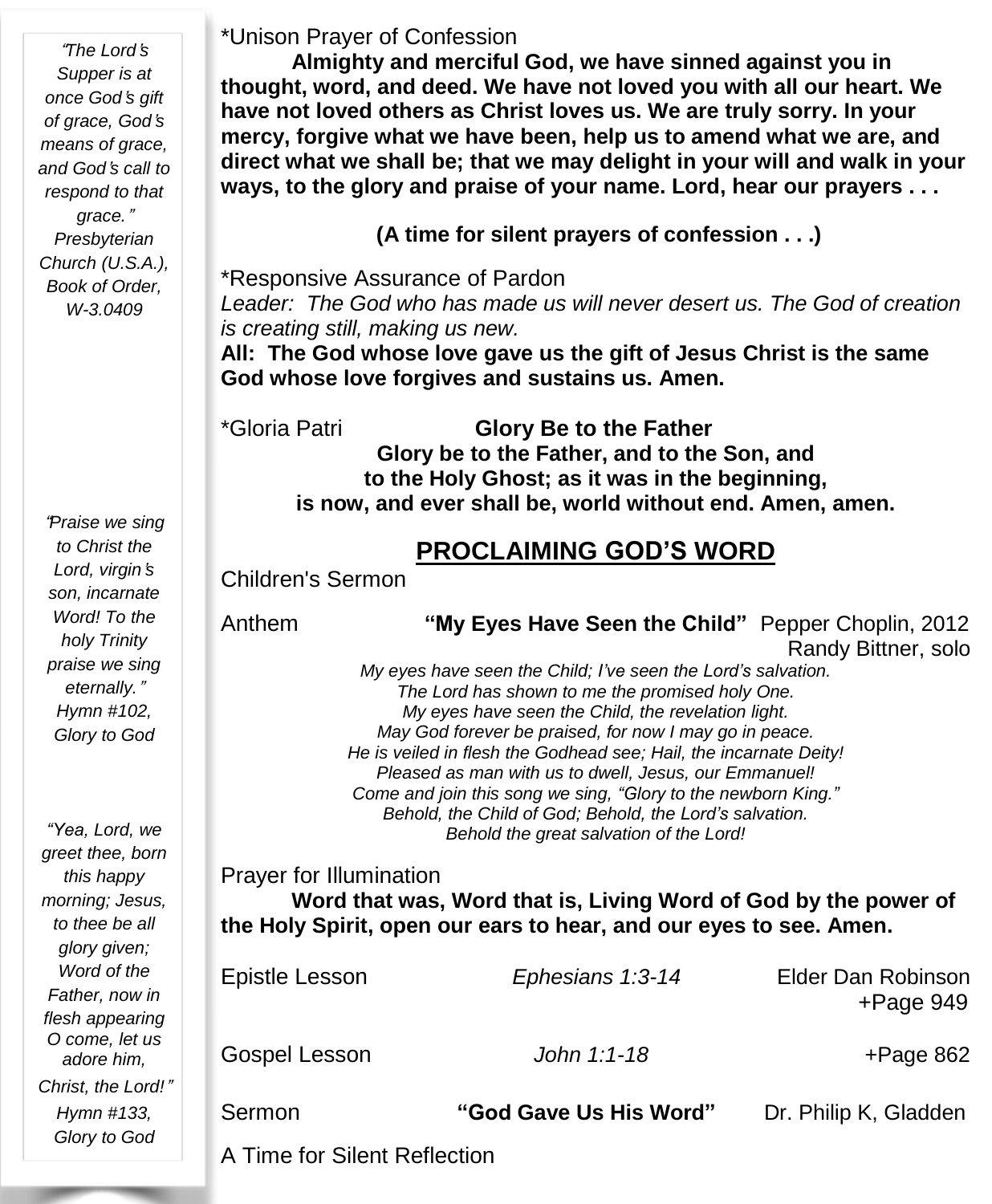"*The Lord*'*s Supper is at once God*'*s gift of grace, God*'*s means of grace, and God*'*s call to respond to that grace.*" *Presbyterian Church (U.S.A.), Book of Order, W-3.0409*

"*Praise we sing to Christ the Lord, virgin*'*s son, incarnate Word!* To the *holy Trinity praise we sing eternally.*" *Hymn #102, Glory* to Go

*"Yea, Lord, we*  $\alpha$ *reet thee*, *bo this happy morning*; Jes *to thee be all glory given; Word of the Father, now flesh appeari O come, let us adore him, Christ, the Lo Hymn #133, Glory* to Go

#### \*Unison Prayer of Confession

**Almighty and merciful God, we have sinned against you in thought, word, and deed. We have not loved you with all our heart. We have not loved others as Christ loves us. We are truly sorry. In your mercy, forgive what we have been, help us to amend what we are, and direct what we shall be; that we may delight in your will and walk in your ways, to the glory and praise of your name. Lord, hear our prayers . . .**

**(A time for silent prayers of confession . . .)**

\*Responsive Assurance of Pardon

*Leader: The God who has made us will never desert us. The God of creation is creating still, making us new.*

**All: The God whose love gave us the gift of Jesus Christ is the same God whose love forgives and sustains us. Amen.**

\*Gloria Patri **Glory Be to the Father Glory be to the Father, and to the Son, and to the Holy Ghost; as it was in the beginning, is now, and ever shall be, world without end. Amen, amen.**

### **PROCLAIMING GOD'S WORD**

Children's Sermon

| ıе                      | Anthem                                                                                                                                                                                                                                                                                                                                                                                                                                                                                                                                                      | "My Eyes Have Seen the Child" Pepper Choplin, 2012 |                                    |
|-------------------------|-------------------------------------------------------------------------------------------------------------------------------------------------------------------------------------------------------------------------------------------------------------------------------------------------------------------------------------------------------------------------------------------------------------------------------------------------------------------------------------------------------------------------------------------------------------|----------------------------------------------------|------------------------------------|
| ng<br>2,<br>ıd<br>мe    | Randy Bittner, solo<br>My eyes have seen the Child; I've seen the Lord's salvation.<br>The Lord has shown to me the promised holy One.<br>My eyes have seen the Child, the revelation light.<br>May God forever be praised, for now I may go in peace.<br>He is veiled in flesh the Godhead see; Hail, the incarnate Deity!<br>Pleased as man with us to dwell, Jesus, our Emmanuel!<br>Come and join this song we sing, "Glory to the newborn King."<br>Behold, the Child of God; Behold, the Lord's salvation.<br>Behold the great salvation of the Lord! |                                                    |                                    |
| orn<br>us,<br>ıІІ<br>ı; | Prayer for Illumination<br>Word that was, Word that is, Living Word of God by the power of<br>the Holy Spirit, open our ears to hear, and our eyes to see. Amen.                                                                                                                                                                                                                                                                                                                                                                                            |                                                    |                                    |
| e<br>in<br>ing          | Epistle Lesson                                                                                                                                                                                                                                                                                                                                                                                                                                                                                                                                              | Ephesians 1:3-14                                   | Elder Dan Robinson<br>$+$ Page 949 |
| us<br>rd!"              | Gospel Lesson                                                                                                                                                                                                                                                                                                                                                                                                                                                                                                                                               | John 1:1-18                                        | +Page 862                          |
| 3,<br>ıd                | Sermon                                                                                                                                                                                                                                                                                                                                                                                                                                                                                                                                                      | "God Gave Us His Word"                             | Dr. Philip K, Gladden              |
|                         | A Time for Silent Peflection                                                                                                                                                                                                                                                                                                                                                                                                                                                                                                                                |                                                    |                                    |

A Time for Silent Reflection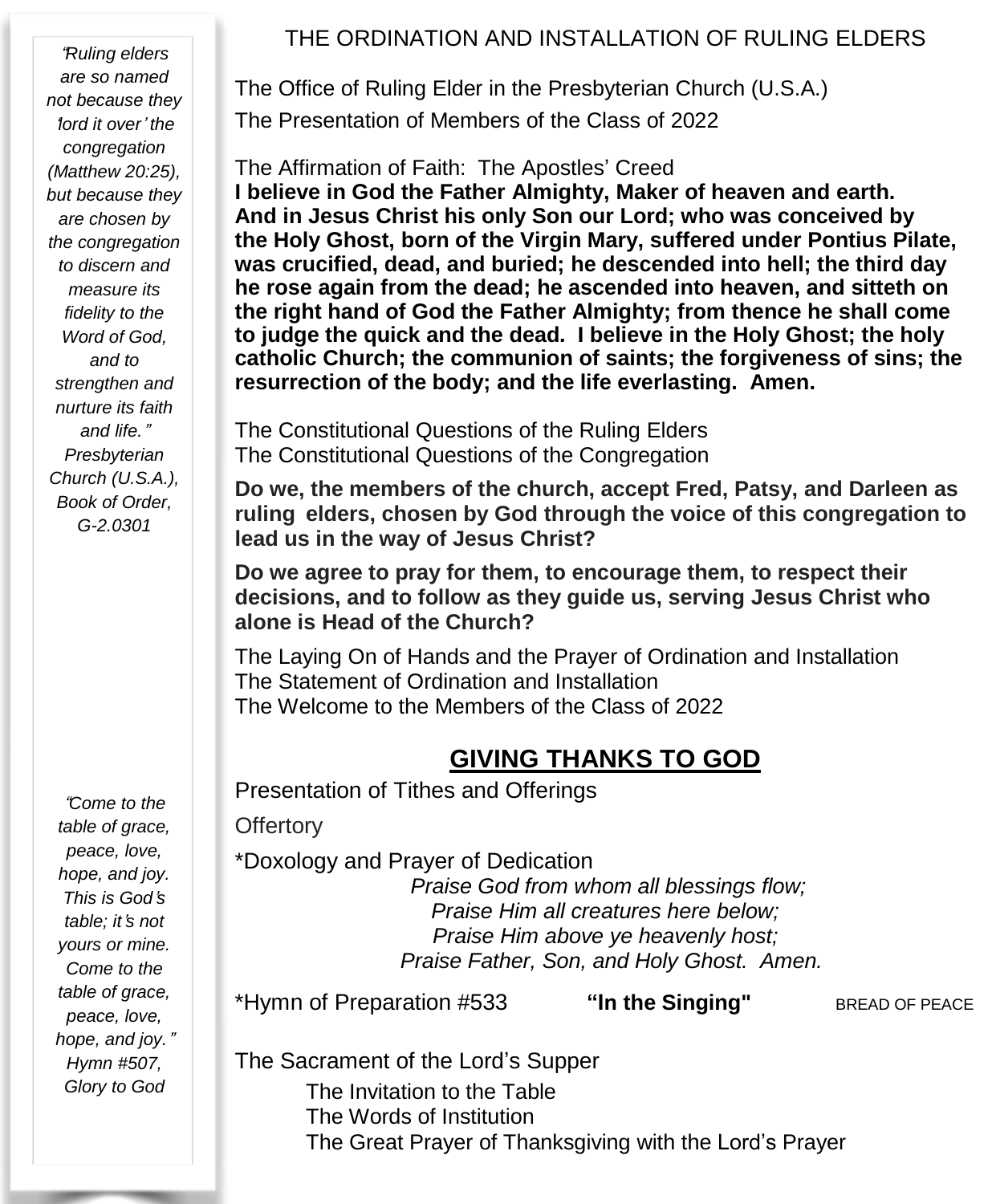"*Ruling elders are so named not because they* '*lord it over*' *the congregation (Matthew 20:25), but because they are chosen by the congregation to discern and measure its fidelity to the Word of God, and to strengthen and nurture its faith and life.*" *Presbyterian Church (U.S.A.), Book of Order, G-2.0301*

"*Come to the table of grace, peace, love, hope, and joy. This is God*'*s table; it*'*s not yours or mine. Come to the table of grace, peace, love, hope, and joy.*" *Hymn #507, Glory to God*

#### THE ORDINATION AND INSTALLATION OF RULING ELDERS

The Office of Ruling Elder in the Presbyterian Church (U.S.A.) The Presentation of Members of the Class of 2022

 **the right hand of God the Father Almighty; from thence he shall come to judge the quick and the dead. I believe in the Holy Ghost; the holy** The Affirmation of Faith: The Apostles' Creed **I believe in God the Father Almighty, Maker of heaven and earth. And in Jesus Christ his only Son our Lord; who was conceived by the Holy Ghost, born of the Virgin Mary, suffered under Pontius Pilate, was crucified, dead, and buried; he descended into hell; the third day he rose again from the dead; he ascended into heaven, and sitteth on catholic Church; the communion of saints; the forgiveness of sins; the resurrection of the body; and the life everlasting. Amen.**

The Constitutional Questions of the Ruling Elders The Constitutional Questions of the Congregation

 **Do we, the members of the church, accept Fred, Patsy, and Darleen as ruling elders, chosen by God through the voice of this congregation to lead us in the way of Jesus Christ?**

**Do we agree to pray for them, to encourage them, to respect their decisions, and to follow as they guide us, serving Jesus Christ who alone is Head of the Church?**

The Laying On of Hands and the Prayer of Ordination and Installation The Statement of Ordination and Installation The Welcome to the Members of the Class of 2022

### **GIVING THANKS TO GOD**

Presentation of Tithes and Offerings

**Offertory** 

\*Doxology and Prayer of Dedication

*Praise God from whom all blessings flow; Praise Him all creatures here below; Praise Him above ye heavenly host; Praise Father, Son, and Holy Ghost. Amen.*

\*Hymn of Preparation #533 **"In the Singing"** BREAD OF PEACE

The Sacrament of the Lord's Supper The Invitation to the Table

The Words of Institution

The Great Prayer of Thanksgiving with the Lord's Prayer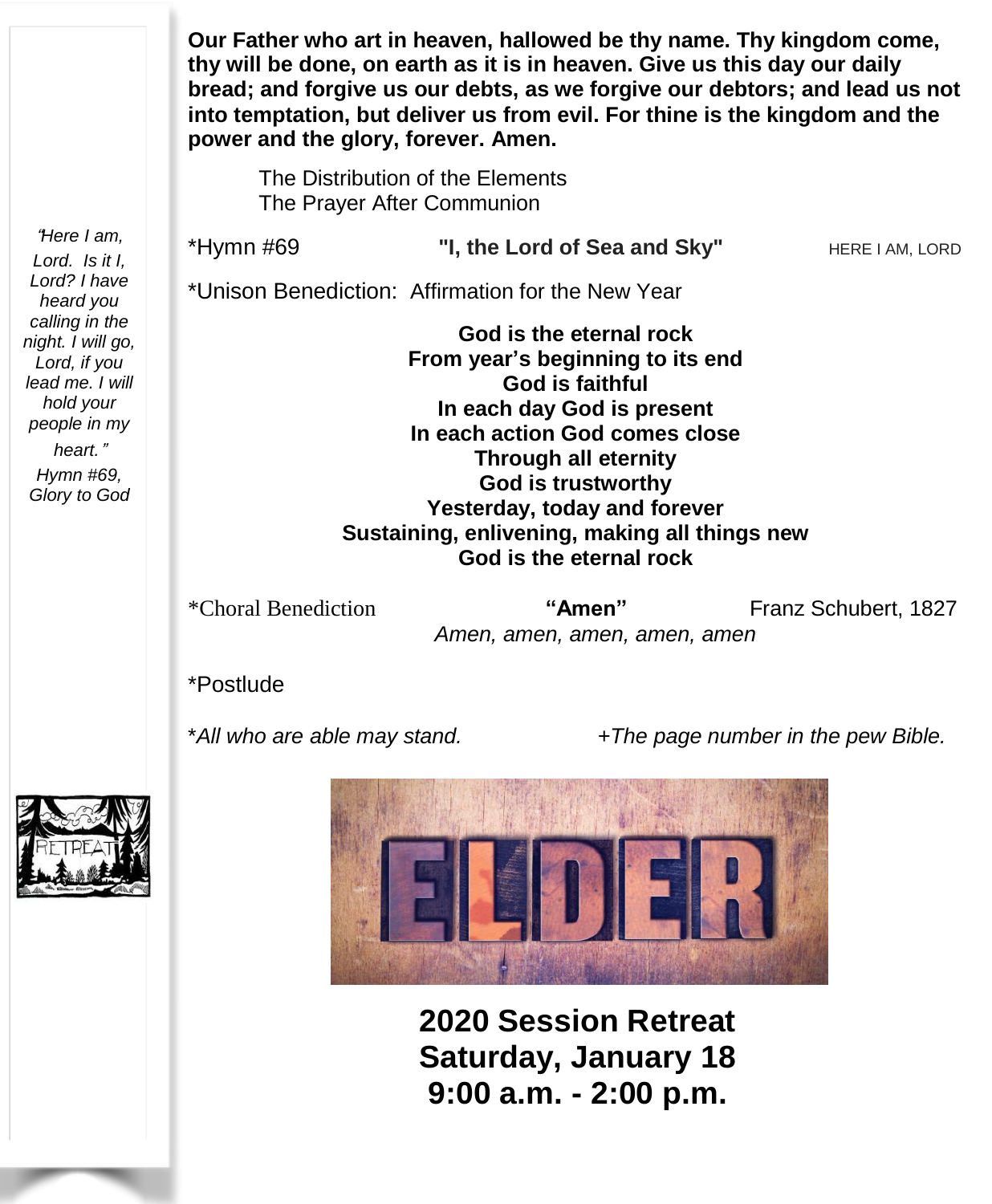**Our Father who art in heaven, hallowed be thy name. Thy kingdom come, thy will be done, on earth as it is in heaven. Give us this day our daily bread; and forgive us our debts, as we forgive our debtors; and lead us not into temptation, but deliver us from evil. For thine is the kingdom and the power and the glory, forever. Amen.**

The Distribution of the Elements The Prayer After Communion

\*Hymn #69 **"I, the Lord of Sea and Sky"** HERE <sup>I</sup> AM, LORD \*Unison Benediction: Affirmation for the New Year **God is the eternal rock From year's beginning to its end God is faithful In each day God is present In each action God comes close Through all eternity God is trustworthy Yesterday, today and forever Sustaining, enlivening, making all things new God is the eternal rock** \*Choral Benediction **"Amen"** Franz Schubert, 1827 "*Here I am, Lord. Is it I, Lord? I have heard you calling in the night. I will go, Lord, if you lead me. I will hold your people in my heart.*" *Hymn #69, Glory to God*

*Amen, amen, amen, amen, amen*

\*Postlude

\**All who are able may stand. +The page number in the pew Bible.*





**2020 Session Retreat Saturday, January 18 9:00 a.m. - 2:00 p.m.**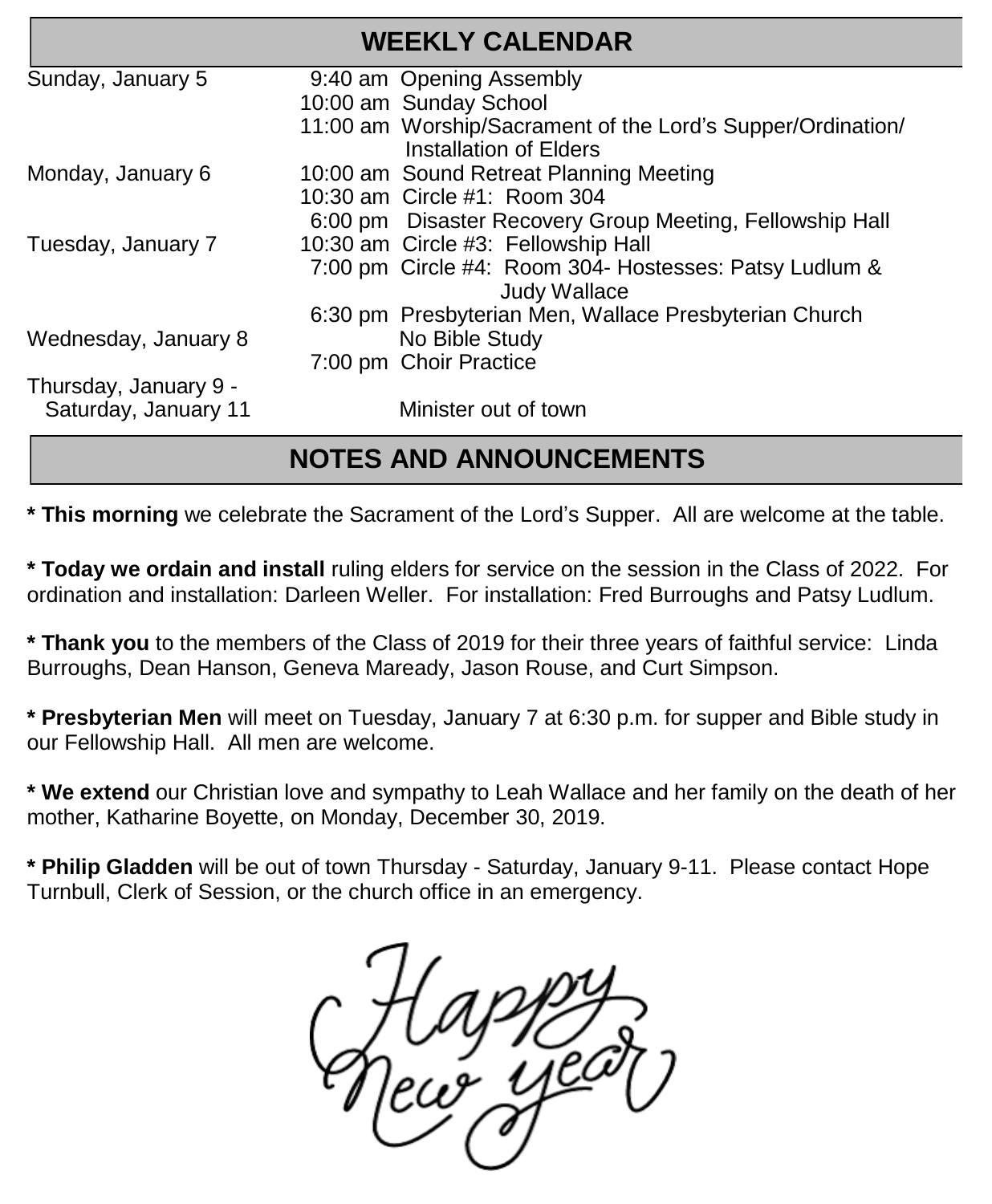|                                               | <b>WEEKLY CALENDAR</b>                                                        |
|-----------------------------------------------|-------------------------------------------------------------------------------|
| Sunday, January 5                             | 9:40 am Opening Assembly                                                      |
|                                               | 10:00 am Sunday School                                                        |
|                                               | 11:00 am Worship/Sacrament of the Lord's Supper/Ordination/                   |
|                                               | Installation of Elders                                                        |
| Monday, January 6                             | 10:00 am Sound Retreat Planning Meeting                                       |
|                                               | 10:30 am Circle #1: Room 304                                                  |
|                                               | 6:00 pm Disaster Recovery Group Meeting, Fellowship Hall                      |
| Tuesday, January 7                            | 10:30 am Circle #3: Fellowship Hall                                           |
|                                               | 7:00 pm Circle #4: Room 304- Hostesses: Patsy Ludlum &<br><b>Judy Wallace</b> |
|                                               | 6:30 pm Presbyterian Men, Wallace Presbyterian Church                         |
| Wednesday, January 8                          | No Bible Study                                                                |
|                                               | 7:00 pm Choir Practice                                                        |
| Thursday, January 9 -<br>Saturday, January 11 | Minister out of town                                                          |

### **NOTES AND ANNOUNCEMENTS**

**\* This morning** we celebrate the Sacrament of the Lord's Supper. All are welcome at the table.

**\* Today we ordain and install** ruling elders for service on the session in the Class of 2022. For ordination and installation: Darleen Weller. For installation: Fred Burroughs and Patsy Ludlum.

**\* Thank you** to the members of the Class of 2019 for their three years of faithful service: Linda Burroughs, Dean Hanson, Geneva Maready, Jason Rouse, and Curt Simpson.

**\* Presbyterian Men** will meet on Tuesday, January 7 at 6:30 p.m. for supper and Bible study in our Fellowship Hall. All men are welcome.

**\* We extend** our Christian love and sympathy to Leah Wallace and her family on the death of her mother, Katharine Boyette, on Monday, December 30, 2019.

**\* Philip Gladden** will be out of town Thursday - Saturday, January 9-11. Please contact Hope Turnbull, Clerk of Session, or the church office in an emergency.